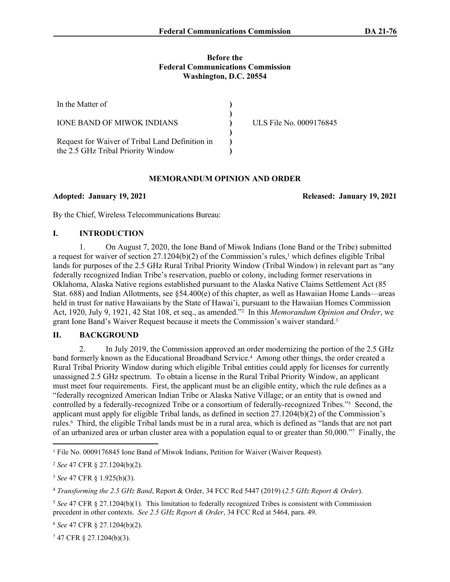#### **Before the Federal Communications Commission Washington, D.C. 20554**

| In the Matter of                                                                      |                         |
|---------------------------------------------------------------------------------------|-------------------------|
| <b>IONE BAND OF MIWOK INDIANS</b>                                                     | ULS File No. 0009176845 |
| Request for Waiver of Tribal Land Definition in<br>the 2.5 GHz Tribal Priority Window |                         |

### **MEMORANDUM OPINION AND ORDER**

**Adopted: January 19, 2021 Released: January 19, 2021**

By the Chief, Wireless Telecommunications Bureau:

### **I. INTRODUCTION**

1. On August 7, 2020, the Ione Band of Miwok Indians (Ione Band or the Tribe) submitted a request for waiver of section  $27.1204(b)(2)$  of the Commission's rules,<sup>1</sup> which defines eligible Tribal lands for purposes of the 2.5 GHz Rural Tribal Priority Window (Tribal Window) in relevant part as "any federally recognized Indian Tribe's reservation, pueblo or colony, including former reservations in Oklahoma, Alaska Native regions established pursuant to the Alaska Native Claims Settlement Act (85 Stat. 688) and Indian Allotments, see §54.400(e) of this chapter, as well as Hawaiian Home Lands—areas held in trust for native Hawaiians by the State of Hawai'i, pursuant to the Hawaiian Homes Commission Act, 1920, July 9, 1921, 42 Stat 108, et seq., as amended."<sup>2</sup> In this *Memorandum Opinion and Order*, we grant Ione Band's Waiver Request because it meets the Commission's waiver standard.<sup>3</sup>

## **II. BACKGROUND**

2. In July 2019, the Commission approved an order modernizing the portion of the 2.5 GHz band formerly known as the Educational Broadband Service.<sup>4</sup> Among other things, the order created a Rural Tribal Priority Window during which eligible Tribal entities could apply for licenses for currently unassigned 2.5 GHz spectrum. To obtain a license in the Rural Tribal Priority Window, an applicant must meet four requirements. First, the applicant must be an eligible entity, which the rule defines as a "federally recognized American Indian Tribe or Alaska Native Village; or an entity that is owned and controlled by a federally-recognized Tribe or a consortium of federally-recognized Tribes."<sup>5</sup> Second, the applicant must apply for eligible Tribal lands, as defined in section 27.1204(b)(2) of the Commission's rules.<sup>6</sup> Third, the eligible Tribal lands must be in a rural area, which is defined as "lands that are not part of an urbanized area or urban cluster area with a population equal to or greater than 50,000."<sup>7</sup> Finally, the

<sup>4</sup> *Transforming the 2.5 GHz Band*, Report & Order, 34 FCC Rcd 5447 (2019) (*2.5 GHz Report & Order*).

<sup>6</sup> *See* 47 CFR § 27.1204(b)(2).

7 47 CFR § 27.1204(b)(3).

<sup>&</sup>lt;sup>1</sup> File No. 0009176845 Ione Band of Miwok Indians, Petition for Waiver (Waiver Request).

<sup>2</sup> *See* 47 CFR § 27.1204(b)(2).

<sup>3</sup> *See* 47 CFR § 1.925(b)(3).

<sup>5</sup> *See* 47 CFR § 27.1204(b)(1). This limitation to federally recognized Tribes is consistent with Commission precedent in other contexts. *See 2.5 GHz Report & Order*, 34 FCC Rcd at 5464, para. 49.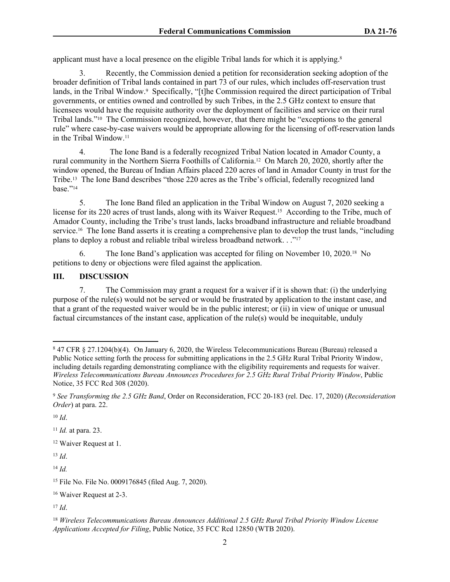applicant must have a local presence on the eligible Tribal lands for which it is applying.<sup>8</sup>

3. Recently, the Commission denied a petition for reconsideration seeking adoption of the broader definition of Tribal lands contained in part 73 of our rules, which includes off-reservation trust lands, in the Tribal Window.<sup>9</sup> Specifically, "[t]he Commission required the direct participation of Tribal governments, or entities owned and controlled by such Tribes, in the 2.5 GHz context to ensure that licensees would have the requisite authority over the deployment of facilities and service on their rural Tribal lands."10 The Commission recognized, however, that there might be "exceptions to the general rule" where case-by-case waivers would be appropriate allowing for the licensing of off-reservation lands in the Tribal Window.<sup>11</sup>

4. The Ione Band is a federally recognized Tribal Nation located in Amador County, a rural community in the Northern Sierra Foothills of California.12 On March 20, 2020, shortly after the window opened, the Bureau of Indian Affairs placed 220 acres of land in Amador County in trust for the Tribe.13 The Ione Band describes "those 220 acres as the Tribe's official, federally recognized land base."<sup>14</sup>

5. The Ione Band filed an application in the Tribal Window on August 7, 2020 seeking a license for its 220 acres of trust lands, along with its Waiver Request.<sup>15</sup> According to the Tribe, much of Amador County, including the Tribe's trust lands, lacks broadband infrastructure and reliable broadband service.<sup>16</sup> The Ione Band asserts it is creating a comprehensive plan to develop the trust lands, "including" plans to deploy a robust and reliable tribal wireless broadband network. . ."<sup>17</sup>

6. The Ione Band's application was accepted for filing on November 10, 2020.18 No petitions to deny or objections were filed against the application.

### **III. DISCUSSION**

7. The Commission may grant a request for a waiver if it is shown that: (i) the underlying purpose of the rule(s) would not be served or would be frustrated by application to the instant case, and that a grant of the requested waiver would be in the public interest; or (ii) in view of unique or unusual factual circumstances of the instant case, application of the rule(s) would be inequitable, unduly

 $10$  *Id*.

<sup>11</sup> *Id.* at para. 23.

<sup>12</sup> Waiver Request at 1.

<sup>13</sup> *Id*.

<sup>14</sup> *Id.*

<sup>16</sup> Waiver Request at 2-3.

<sup>17</sup> *Id*.

<sup>8</sup> 47 CFR § 27.1204(b)(4). On January 6, 2020, the Wireless Telecommunications Bureau (Bureau) released a Public Notice setting forth the process for submitting applications in the 2.5 GHz Rural Tribal Priority Window, including details regarding demonstrating compliance with the eligibility requirements and requests for waiver. *Wireless Telecommunications Bureau Announces Procedures for 2.5 GHz Rural Tribal Priority Window*, Public Notice, 35 FCC Rcd 308 (2020).

<sup>9</sup> *See Transforming the 2.5 GHz Band*, Order on Reconsideration, FCC 20-183 (rel. Dec. 17, 2020) (*Reconsideration Order*) at para. 22.

<sup>15</sup> File No. File No. 0009176845 (filed Aug. 7, 2020).

<sup>18</sup> *Wireless Telecommunications Bureau Announces Additional 2.5 GHz Rural Tribal Priority Window License Applications Accepted for Filing*, Public Notice, 35 FCC Rcd 12850 (WTB 2020).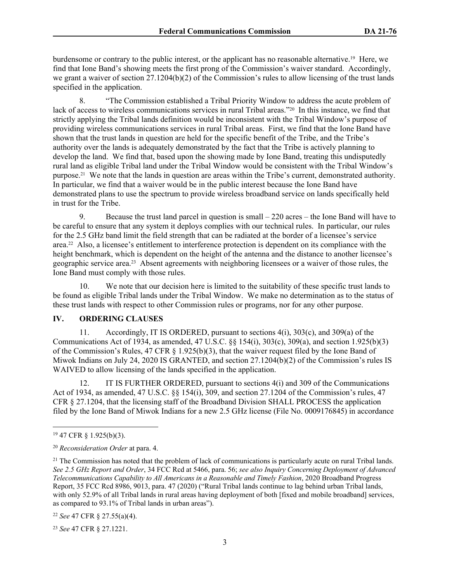burdensome or contrary to the public interest, or the applicant has no reasonable alternative.19 Here, we find that Ione Band's showing meets the first prong of the Commission's waiver standard. Accordingly, we grant a waiver of section 27.1204(b)(2) of the Commission's rules to allow licensing of the trust lands specified in the application.

8. "The Commission established a Tribal Priority Window to address the acute problem of lack of access to wireless communications services in rural Tribal areas."<sup>20</sup> In this instance, we find that strictly applying the Tribal lands definition would be inconsistent with the Tribal Window's purpose of providing wireless communications services in rural Tribal areas. First, we find that the Ione Band have shown that the trust lands in question are held for the specific benefit of the Tribe, and the Tribe's authority over the lands is adequately demonstrated by the fact that the Tribe is actively planning to develop the land. We find that, based upon the showing made by Ione Band, treating this undisputedly rural land as eligible Tribal land under the Tribal Window would be consistent with the Tribal Window's purpose.21 We note that the lands in question are areas within the Tribe's current, demonstrated authority. In particular, we find that a waiver would be in the public interest because the Ione Band have demonstrated plans to use the spectrum to provide wireless broadband service on lands specifically held in trust for the Tribe.

9. Because the trust land parcel in question is small – 220 acres – the Ione Band will have to be careful to ensure that any system it deploys complies with our technical rules. In particular, our rules for the 2.5 GHz band limit the field strength that can be radiated at the border of a licensee's service area.22 Also, a licensee's entitlement to interference protection is dependent on its compliance with the height benchmark, which is dependent on the height of the antenna and the distance to another licensee's geographic service area.23 Absent agreements with neighboring licensees or a waiver of those rules, the Ione Band must comply with those rules.

10. We note that our decision here is limited to the suitability of these specific trust lands to be found as eligible Tribal lands under the Tribal Window. We make no determination as to the status of these trust lands with respect to other Commission rules or programs, nor for any other purpose.

### **IV. ORDERING CLAUSES**

11. Accordingly, IT IS ORDERED, pursuant to sections 4(i), 303(c), and 309(a) of the Communications Act of 1934, as amended, 47 U.S.C. §§ 154(i), 303(c), 309(a), and section 1.925(b)(3) of the Commission's Rules, 47 CFR § 1.925(b)(3), that the waiver request filed by the Ione Band of Miwok Indians on July 24, 2020 IS GRANTED, and section 27.1204(b)(2) of the Commission's rules IS WAIVED to allow licensing of the lands specified in the application.

12. IT IS FURTHER ORDERED, pursuant to sections 4(i) and 309 of the Communications Act of 1934, as amended, 47 U.S.C. §§ 154(i), 309, and section 27.1204 of the Commission's rules, 47 CFR § 27.1204, that the licensing staff of the Broadband Division SHALL PROCESS the application filed by the Ione Band of Miwok Indians for a new 2.5 GHz license (File No. 0009176845) in accordance

<sup>22</sup> *See* 47 CFR § 27.55(a)(4).

<sup>23</sup> *See* 47 CFR § 27.1221.

<sup>19</sup> 47 CFR § 1.925(b)(3).

<sup>20</sup> *Reconsideration Order* at para. 4.

<sup>&</sup>lt;sup>21</sup> The Commission has noted that the problem of lack of communications is particularly acute on rural Tribal lands. *See 2.5 GHz Report and Order*, 34 FCC Rcd at 5466, para. 56; *see also Inquiry Concerning Deployment of Advanced Telecommunications Capability to All Americans in a Reasonable and Timely Fashion*, 2020 Broadband Progress Report, 35 FCC Rcd 8986, 9013, para. 47 (2020) ("Rural Tribal lands continue to lag behind urban Tribal lands, with only 52.9% of all Tribal lands in rural areas having deployment of both [fixed and mobile broadband] services, as compared to 93.1% of Tribal lands in urban areas").